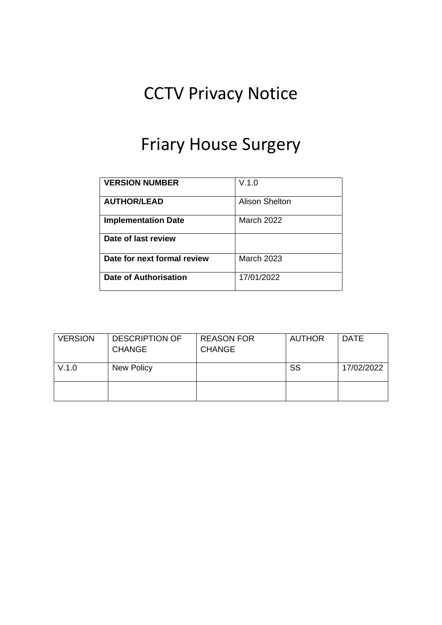# CCTV Privacy Notice

### Friary House Surgery

| <b>VERSION NUMBER</b>       | V.1.0                 |
|-----------------------------|-----------------------|
| <b>AUTHOR/LEAD</b>          | <b>Alison Shelton</b> |
| <b>Implementation Date</b>  | <b>March 2022</b>     |
| Date of last review         |                       |
| Date for next formal review | <b>March 2023</b>     |
| Date of Authorisation       | 17/01/2022            |

| <b>VERSION</b> | <b>DESCRIPTION OF</b><br><b>CHANGE</b> | <b>REASON FOR</b><br><b>CHANGE</b> | <b>AUTHOR</b> | <b>DATE</b> |
|----------------|----------------------------------------|------------------------------------|---------------|-------------|
| V.1.0          | New Policy                             |                                    | SS            | 17/02/2022  |
|                |                                        |                                    |               |             |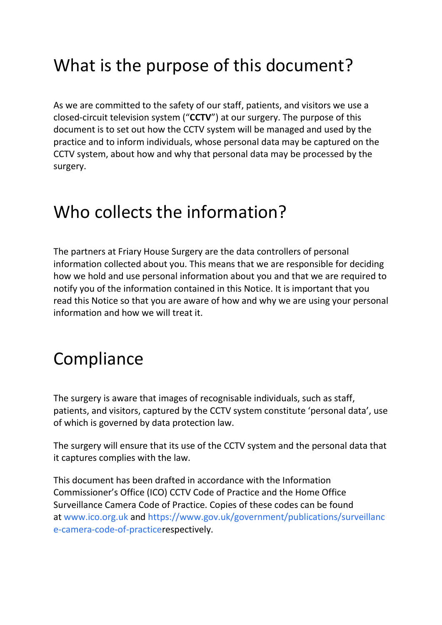## What is the purpose of this document?

As we are committed to the safety of our staff, patients, and visitors we use a closed-circuit television system ("**CCTV**") at our surgery. The purpose of this document is to set out how the CCTV system will be managed and used by the practice and to inform individuals, whose personal data may be captured on the CCTV system, about how and why that personal data may be processed by the surgery.

#### Who collects the information?

The partners at Friary House Surgery are the data controllers of personal information collected about you. This means that we are responsible for deciding how we hold and use personal information about you and that we are required to notify you of the information contained in this Notice. It is important that you read this Notice so that you are aware of how and why we are using your personal information and how we will treat it.

#### **Compliance**

The surgery is aware that images of recognisable individuals, such as staff, patients, and visitors, captured by the CCTV system constitute 'personal data', use of which is governed by data protection law.

The surgery will ensure that its use of the CCTV system and the personal data that it captures complies with the law.

This document has been drafted in accordance with the Information Commissioner's Office (ICO) CCTV Code of Practice and the Home Office Surveillance Camera Code of Practice. Copies of these codes can be found at [www.ico.org.uk](https://www.ico.org.uk/) and [https://www.gov.uk/government/publications/surveillanc](https://www.gov.uk/government/publications/surveillance-camera-code-of-practice) [e-camera-code-of-practicer](https://www.gov.uk/government/publications/surveillance-camera-code-of-practice)espectively.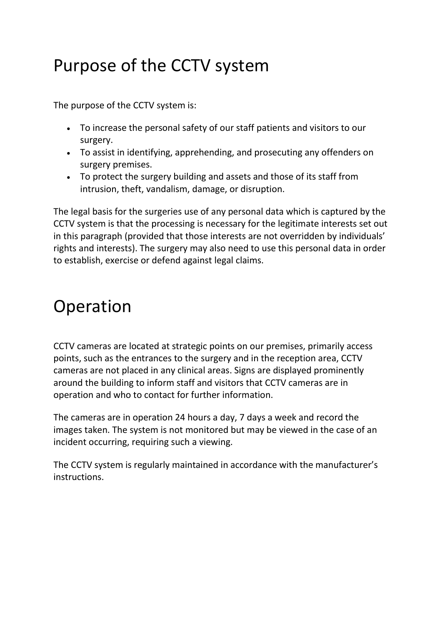## Purpose of the CCTV system

The purpose of the CCTV system is:

- To increase the personal safety of our staff patients and visitors to our surgery.
- To assist in identifying, apprehending, and prosecuting any offenders on surgery premises.
- To protect the surgery building and assets and those of its staff from intrusion, theft, vandalism, damage, or disruption.

The legal basis for the surgeries use of any personal data which is captured by the CCTV system is that the processing is necessary for the legitimate interests set out in this paragraph (provided that those interests are not overridden by individuals' rights and interests). The surgery may also need to use this personal data in order to establish, exercise or defend against legal claims.

#### Operation

CCTV cameras are located at strategic points on our premises, primarily access points, such as the entrances to the surgery and in the reception area, CCTV cameras are not placed in any clinical areas. Signs are displayed prominently around the building to inform staff and visitors that CCTV cameras are in operation and who to contact for further information.

The cameras are in operation 24 hours a day, 7 days a week and record the images taken. The system is not monitored but may be viewed in the case of an incident occurring, requiring such a viewing.

The CCTV system is regularly maintained in accordance with the manufacturer's instructions.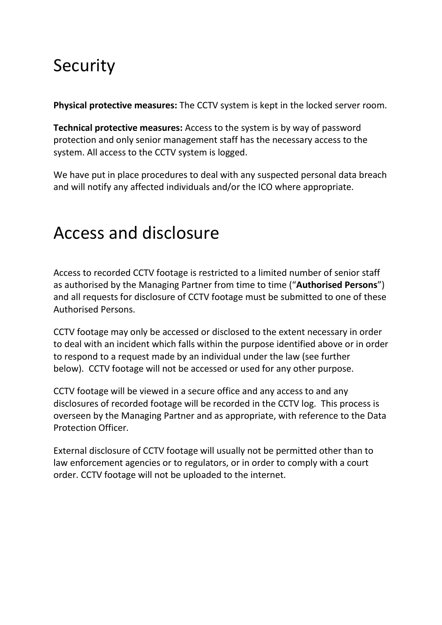## Security

**Physical protective measures:** The CCTV system is kept in the locked server room.

**Technical protective measures:** Access to the system is by way of password protection and only senior management staff has the necessary access to the system. All access to the CCTV system is logged.

We have put in place procedures to deal with any suspected personal data breach and will notify any affected individuals and/or the ICO where appropriate.

#### Access and disclosure

Access to recorded CCTV footage is restricted to a limited number of senior staff as authorised by the Managing Partner from time to time ("**Authorised Persons**") and all requests for disclosure of CCTV footage must be submitted to one of these Authorised Persons.

CCTV footage may only be accessed or disclosed to the extent necessary in order to deal with an incident which falls within the purpose identified above or in order to respond to a request made by an individual under the law (see further below). CCTV footage will not be accessed or used for any other purpose.

CCTV footage will be viewed in a secure office and any access to and any disclosures of recorded footage will be recorded in the CCTV log. This process is overseen by the Managing Partner and as appropriate, with reference to the Data Protection Officer.

External disclosure of CCTV footage will usually not be permitted other than to law enforcement agencies or to regulators, or in order to comply with a court order. CCTV footage will not be uploaded to the internet.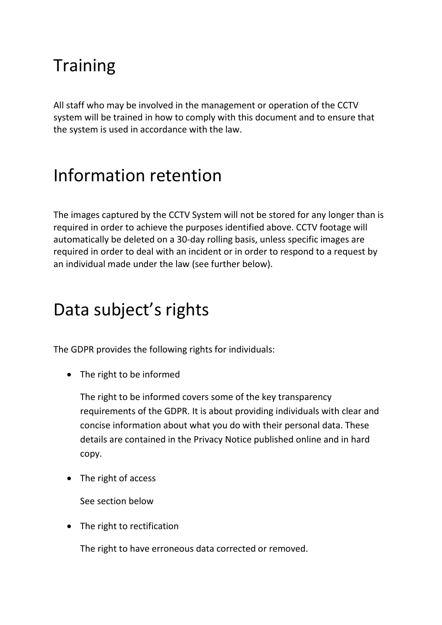## **Training**

All staff who may be involved in the management or operation of the CCTV system will be trained in how to comply with this document and to ensure that the system is used in accordance with the law.

#### Information retention

The images captured by the CCTV System will not be stored for any longer than is required in order to achieve the purposes identified above. CCTV footage will automatically be deleted on a 30-day rolling basis, unless specific images are required in order to deal with an incident or in order to respond to a request by an individual made under the law (see further below).

## Data subject's rights

The GDPR provides the following rights for individuals:

• The right to be informed

The right to be informed covers some of the key transparency requirements of the GDPR. It is about providing individuals with clear and concise information about what you do with their personal data. These details are contained in the Privacy Notice published online and in hard copy.

• The right of access

See section below

• The right to rectification

The right to have erroneous data corrected or removed.